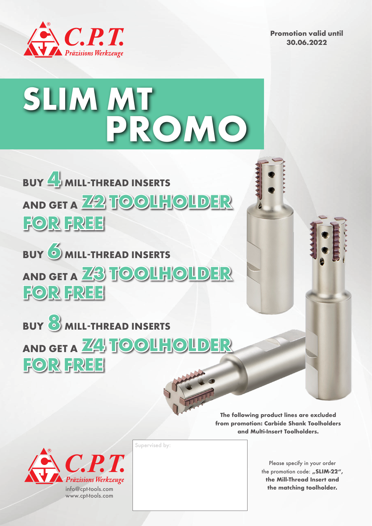

**Promotion valid until 30.06.2022**





**Z3 TOOLHOLDER AND GET A BUY 6 MILL-THREAD INSERTS FOR FREE**



**The following product lines are excluded from promotion: Carbide Shank Toolholders and Multi-Insert Toolholders.**



Supervised by:

Please specify in your order the promotion code: "SLIM-22", **the Mill-Thread Insert and the matching toolholder.**